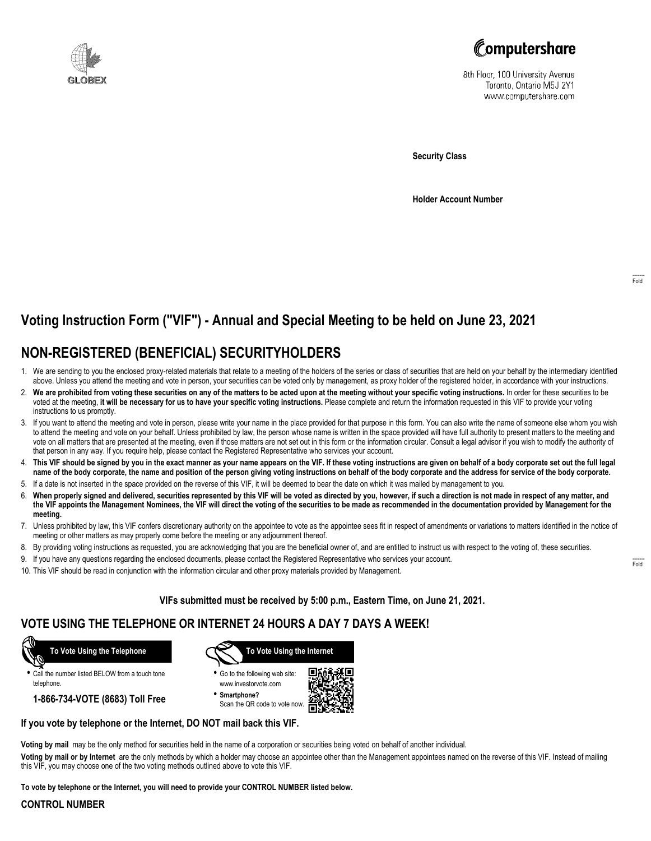



8th Floor, 100 University Avenue Toronto, Ontario M5J 2Y1 www.computershare.com

**Security Class**

**Holder Account Number**

# **Voting Instruction Form ("VIF") - Annual and Special Meeting to be held on June 23, 2021**

## **NON-REGISTERED (BENEFICIAL) SECURITYHOLDERS**

- 1. We are sending to you the enclosed proxy-related materials that relate to a meeting of the holders of the series or class of securities that are held on your behalf by the intermediary identified above. Unless you attend the meeting and vote in person, your securities can be voted only by management, as proxy holder of the registered holder, in accordance with your instructions.
- 2. **We are prohibited from voting these securities on any of the matters to be acted upon at the meeting without your specific voting instructions.** In order for these securities to be voted at the meeting, **it will be necessary for us to have your specific voting instructions.** Please complete and return the information requested in this VIF to provide your voting instructions to us promptly.
- 3. If you want to attend the meeting and vote in person, please write your name in the place provided for that purpose in this form. You can also write the name of someone else whom you wish to attend the meeting and vote on your behalf. Unless prohibited by law, the person whose name is written in the space provided will have full authority to present matters to the meeting and vote on all matters that are presented at the meeting, even if those matters are not set out in this form or the information circular. Consult a legal advisor if you wish to modify the authority of that person in any way. If you require help, please contact the Registered Representative who services your account.
- 4. **This VIF should be signed by you in the exact manner as your name appears on the VIF. If these voting instructions are given on behalf of a body corporate set out the full legal name of the body corporate, the name and position of the person giving voting instructions on behalf of the body corporate and the address for service of the body corporate.**
- 5. If a date is not inserted in the space provided on the reverse of this VIF, it will be deemed to bear the date on which it was mailed by management to you.
- 6. **When properly signed and delivered, securities represented by this VIF will be voted as directed by you, however, if such a direction is not made in respect of any matter, and the VIF appoints the Management Nominees, the VIF will direct the voting of the securities to be made as recommended in the documentation provided by Management for the meeting.**
- 7. Unless prohibited by law, this VIF confers discretionary authority on the appointee to vote as the appointee sees fit in respect of amendments or variations to matters identified in the notice of meeting or other matters as may properly come before the meeting or any adjournment thereof.
- 8. By providing voting instructions as requested, you are acknowledging that you are the beneficial owner of, and are entitled to instruct us with respect to the voting of, these securities.
- 9. If you have any questions regarding the enclosed documents, please contact the Registered Representative who services your account.
- 10. This VIF should be read in conjunction with the information circular and other proxy materials provided by Management.

**VIFs submitted must be received by 5:00 p.m., Eastern Time, on June 21, 2021.**

### **VOTE USING THE TELEPHONE OR INTERNET 24 HOURS A DAY 7 DAYS A WEEK!**



**•** Call the number listed BELOW from a touch tone telephone.

**1-866-734-VOTE (8683) Toll Free**



- **•** Go to the following web site: www.investorvote.com
- **• Smartphone?** Scan the QR code to vote now.



#### **If you vote by telephone or the Internet, DO NOT mail back this VIF.**

**Voting by mail** may be the only method for securities held in the name of a corporation or securities being voted on behalf of another individual.

**Voting by mail or by Internet** are the only methods by which a holder may choose an appointee other than the Management appointees named on the reverse of this VIF. Instead of mailing this VIF, you may choose one of the two voting methods outlined above to vote this VIF.

**To vote by telephone or the Internet, you will need to provide your CONTROL NUMBER listed below.**

#### **CONTROL NUMBER**